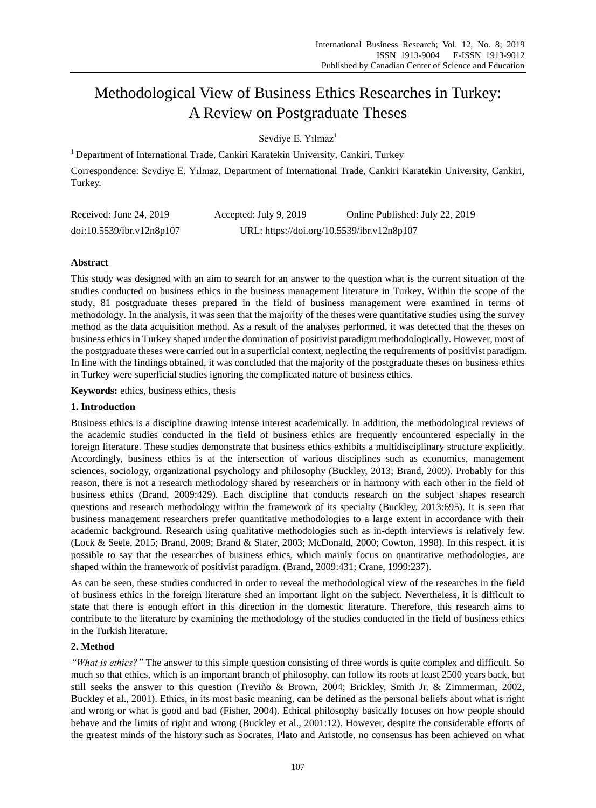# Methodological View of Business Ethics Researches in Turkey: A Review on Postgraduate Theses

Sevdiye E. Yılmaz<sup>1</sup>

<sup>1</sup> Department of International Trade, Cankiri Karatekin University, Cankiri, Turkey

Correspondence: Sevdiye E. Yılmaz, Department of International Trade, Cankiri Karatekin University, Cankiri, Turkey.

| Received: June 24, 2019   | Accepted: July 9, 2019 | Online Published: July 22, 2019            |
|---------------------------|------------------------|--------------------------------------------|
| doi:10.5539/ibr.v12n8p107 |                        | URL: https://doi.org/10.5539/ibr.v12n8p107 |

## **Abstract**

This study was designed with an aim to search for an answer to the question what is the current situation of the studies conducted on business ethics in the business management literature in Turkey. Within the scope of the study, 81 postgraduate theses prepared in the field of business management were examined in terms of methodology. In the analysis, it was seen that the majority of the theses were quantitative studies using the survey method as the data acquisition method. As a result of the analyses performed, it was detected that the theses on business ethics in Turkey shaped under the domination of positivist paradigm methodologically. However, most of the postgraduate theses were carried out in a superficial context, neglecting the requirements of positivist paradigm. In line with the findings obtained, it was concluded that the majority of the postgraduate theses on business ethics in Turkey were superficial studies ignoring the complicated nature of business ethics.

**Keywords:** ethics, business ethics, thesis

## **1. Introduction**

Business ethics is a discipline drawing intense interest academically. In addition, the methodological reviews of the academic studies conducted in the field of business ethics are frequently encountered especially in the foreign literature. These studies demonstrate that business ethics exhibits a multidisciplinary structure explicitly. Accordingly, business ethics is at the intersection of various disciplines such as economics, management sciences, sociology, organizational psychology and philosophy (Buckley, 2013; Brand, 2009). Probably for this reason, there is not a research methodology shared by researchers or in harmony with each other in the field of business ethics (Brand, 2009:429). Each discipline that conducts research on the subject shapes research questions and research methodology within the framework of its specialty (Buckley, 2013:695). It is seen that business management researchers prefer quantitative methodologies to a large extent in accordance with their academic background. Research using qualitative methodologies such as in-depth interviews is relatively few. (Lock & Seele, 2015; Brand, 2009; Brand & Slater, 2003; McDonald, 2000; Cowton, 1998). In this respect, it is possible to say that the researches of business ethics, which mainly focus on quantitative methodologies, are shaped within the framework of positivist paradigm. (Brand, 2009:431; Crane, 1999:237).

As can be seen, these studies conducted in order to reveal the methodological view of the researches in the field of business ethics in the foreign literature shed an important light on the subject. Nevertheless, it is difficult to state that there is enough effort in this direction in the domestic literature. Therefore, this research aims to contribute to the literature by examining the methodology of the studies conducted in the field of business ethics in the Turkish literature.

## **2. Method**

*"What is ethics?"* The answer to this simple question consisting of three words is quite complex and difficult. So much so that ethics, which is an important branch of philosophy, can follow its roots at least 2500 years back, but still seeks the answer to this question (Treviño & Brown, 2004; Brickley, Smith Jr. & Zimmerman, 2002, Buckley et al., 2001). Ethics, in its most basic meaning, can be defined as the personal beliefs about what is right and wrong or what is good and bad (Fisher, 2004). Ethical philosophy basically focuses on how people should behave and the limits of right and wrong (Buckley et al., 2001:12). However, despite the considerable efforts of the greatest minds of the history such as Socrates, Plato and Aristotle, no consensus has been achieved on what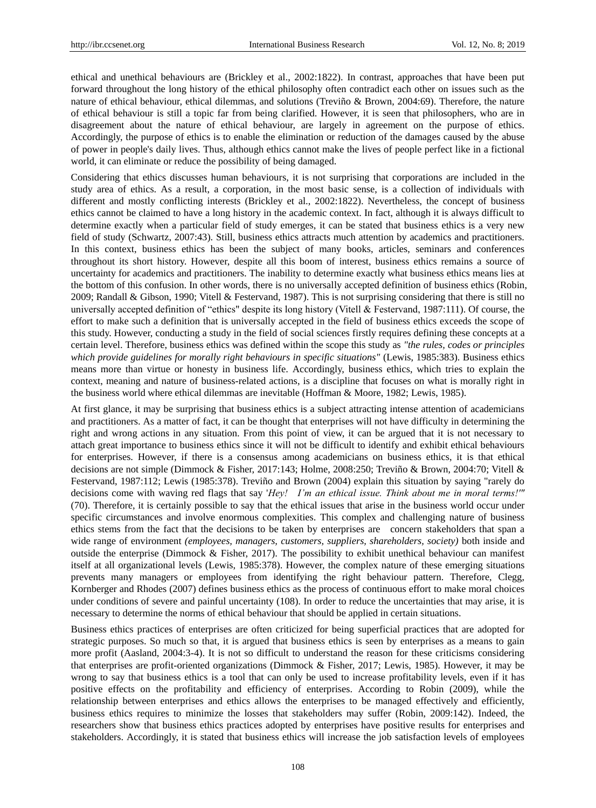ethical and unethical behaviours are (Brickley et al., 2002:1822). In contrast, approaches that have been put forward throughout the long history of the ethical philosophy often contradict each other on issues such as the nature of ethical behaviour, ethical dilemmas, and solutions (Treviño & Brown, 2004:69). Therefore, the nature of ethical behaviour is still a topic far from being clarified. However, it is seen that philosophers, who are in disagreement about the nature of ethical behaviour, are largely in agreement on the purpose of ethics. Accordingly, the purpose of ethics is to enable the elimination or reduction of the damages caused by the abuse of power in people's daily lives. Thus, although ethics cannot make the lives of people perfect like in a fictional world, it can eliminate or reduce the possibility of being damaged.

Considering that ethics discusses human behaviours, it is not surprising that corporations are included in the study area of ethics. As a result, a corporation, in the most basic sense, is a collection of individuals with different and mostly conflicting interests (Brickley et al., 2002:1822). Nevertheless, the concept of business ethics cannot be claimed to have a long history in the academic context. In fact, although it is always difficult to determine exactly when a particular field of study emerges, it can be stated that business ethics is a very new field of study (Schwartz, 2007:43). Still, business ethics attracts much attention by academics and practitioners. In this context, business ethics has been the subject of many books, articles, seminars and conferences throughout its short history. However, despite all this boom of interest, business ethics remains a source of uncertainty for academics and practitioners. The inability to determine exactly what business ethics means lies at the bottom of this confusion. In other words, there is no universally accepted definition of business ethics (Robin, 2009; Randall & Gibson, 1990; Vitell & Festervand, 1987). This is not surprising considering that there is still no universally accepted definition of "ethics" despite its long history (Vitell & Festervand, 1987:111). Of course, the effort to make such a definition that is universally accepted in the field of business ethics exceeds the scope of this study. However, conducting a study in the field of social sciences firstly requires defining these concepts at a certain level. Therefore, business ethics was defined within the scope this study as *"the rules, codes or principles*  which provide guidelines for morally right behaviours in specific situations" (Lewis, 1985:383). Business ethics means more than virtue or honesty in business life. Accordingly, business ethics, which tries to explain the context, meaning and nature of business-related actions, is a discipline that focuses on what is morally right in the business world where ethical dilemmas are inevitable (Hoffman & Moore, 1982; Lewis, 1985).

At first glance, it may be surprising that business ethics is a subject attracting intense attention of academicians and practitioners. As a matter of fact, it can be thought that enterprises will not have difficulty in determining the right and wrong actions in any situation. From this point of view, it can be argued that it is not necessary to attach great importance to business ethics since it will not be difficult to identify and exhibit ethical behaviours for enterprises. However, if there is a consensus among academicians on business ethics, it is that ethical decisions are not simple (Dimmock & Fisher, 2017:143; Holme, 2008:250; Treviño & Brown, 2004:70; Vitell & Festervand, 1987:112; Lewis (1985:378). Treviño and Brown (2004) explain this situation by saying "rarely do decisions come with waving red flags that say '*Hey! I'm an ethical issue. Think about me in moral terms!'"*  (70). Therefore, it is certainly possible to say that the ethical issues that arise in the business world occur under specific circumstances and involve enormous complexities. This complex and challenging nature of business ethics stems from the fact that the decisions to be taken by enterprises are concern stakeholders that span a wide range of environment *(employees, managers, customers, suppliers, shareholders, society)* both inside and outside the enterprise (Dimmock & Fisher, 2017). The possibility to exhibit unethical behaviour can manifest itself at all organizational levels (Lewis, 1985:378). However, the complex nature of these emerging situations prevents many managers or employees from identifying the right behaviour pattern. Therefore, Clegg, Kornberger and Rhodes (2007) defines business ethics as the process of continuous effort to make moral choices under conditions of severe and painful uncertainty (108). In order to reduce the uncertainties that may arise, it is necessary to determine the norms of ethical behaviour that should be applied in certain situations.

Business ethics practices of enterprises are often criticized for being superficial practices that are adopted for strategic purposes. So much so that, it is argued that business ethics is seen by enterprises as a means to gain more profit (Aasland, 2004:3-4). It is not so difficult to understand the reason for these criticisms considering that enterprises are profit-oriented organizations (Dimmock & Fisher, 2017; Lewis, 1985). However, it may be wrong to say that business ethics is a tool that can only be used to increase profitability levels, even if it has positive effects on the profitability and efficiency of enterprises. According to Robin (2009), while the relationship between enterprises and ethics allows the enterprises to be managed effectively and efficiently, business ethics requires to minimize the losses that stakeholders may suffer (Robin, 2009:142). Indeed, the researchers show that business ethics practices adopted by enterprises have positive results for enterprises and stakeholders. Accordingly, it is stated that business ethics will increase the job satisfaction levels of employees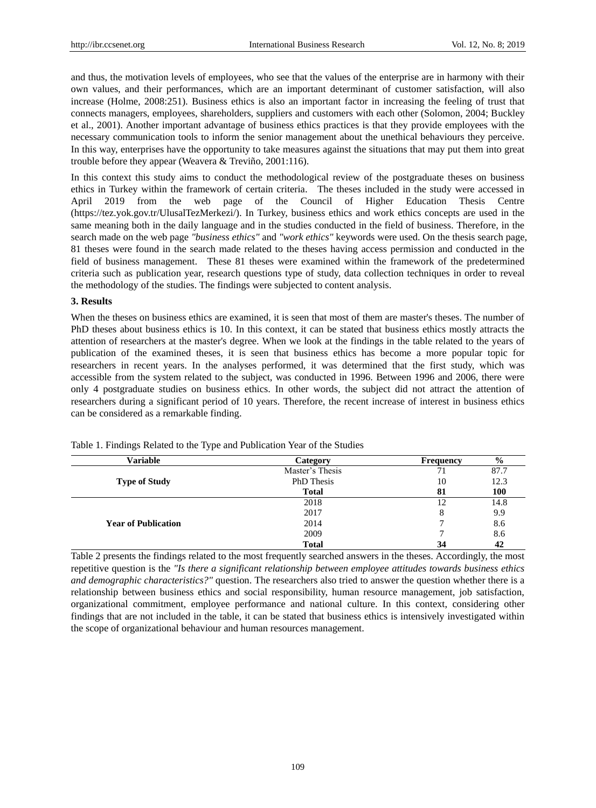and thus, the motivation levels of employees, who see that the values of the enterprise are in harmony with their own values, and their performances, which are an important determinant of customer satisfaction, will also increase (Holme, 2008:251). Business ethics is also an important factor in increasing the feeling of trust that connects managers, employees, shareholders, suppliers and customers with each other (Solomon, 2004; Buckley et al., 2001). Another important advantage of business ethics practices is that they provide employees with the necessary communication tools to inform the senior management about the unethical behaviours they perceive. In this way, enterprises have the opportunity to take measures against the situations that may put them into great trouble before they appear (Weavera & Treviño, 2001:116).

In this context this study aims to conduct the methodological review of the postgraduate theses on business ethics in Turkey within the framework of certain criteria. The theses included in the study were accessed in April 2019 from the web page of the Council of Higher Education Thesis Centre [\(https://tez.yok.gov.tr/UlusalTezMerkezi/\)](https://tez.yok.gov.tr/UlusalTezMerkezi/). In Turkey, business ethics and work ethics concepts are used in the same meaning both in the daily language and in the studies conducted in the field of business. Therefore, in the search made on the web page *"business ethics"* and *"work ethics"* keywords were used. On the thesis search page, 81 theses were found in the search made related to the theses having access permission and conducted in the field of business management. These 81 theses were examined within the framework of the predetermined criteria such as publication year, research questions type of study, data collection techniques in order to reveal the methodology of the studies. The findings were subjected to content analysis.

#### **3. Results**

When the theses on business ethics are examined, it is seen that most of them are master's theses. The number of PhD theses about business ethics is 10. In this context, it can be stated that business ethics mostly attracts the attention of researchers at the master's degree. When we look at the findings in the table related to the years of publication of the examined theses, it is seen that business ethics has become a more popular topic for researchers in recent years. In the analyses performed, it was determined that the first study, which was accessible from the system related to the subject, was conducted in 1996. Between 1996 and 2006, there were only 4 postgraduate studies on business ethics. In other words, the subject did not attract the attention of researchers during a significant period of 10 years. Therefore, the recent increase of interest in business ethics can be considered as a remarkable finding.

| Variable                   | Category          | Frequency | $\frac{6}{9}$ |
|----------------------------|-------------------|-----------|---------------|
|                            | Master's Thesis   | 71        | 87.7          |
| <b>Type of Study</b>       | <b>PhD</b> Thesis | 10        | 12.3          |
|                            | <b>Total</b>      | -81       | <b>100</b>    |
|                            | 2018              |           | 14.8          |
|                            | 2017              | Ω         | 9.9           |
| <b>Year of Publication</b> | 2014              |           | 8.6           |
|                            | 2009              |           | 8.6           |
|                            | <b>Total</b>      | 34        | 42            |

Table 1. Findings Related to the Type and Publication Year of the Studies

Table 2 presents the findings related to the most frequently searched answers in the theses. Accordingly, the most repetitive question is the *"Is there a significant relationship between employee attitudes towards business ethics and demographic characteristics?"* question. The researchers also tried to answer the question whether there is a relationship between business ethics and social responsibility, human resource management, job satisfaction, organizational commitment, employee performance and national culture. In this context, considering other findings that are not included in the table, it can be stated that business ethics is intensively investigated within the scope of organizational behaviour and human resources management.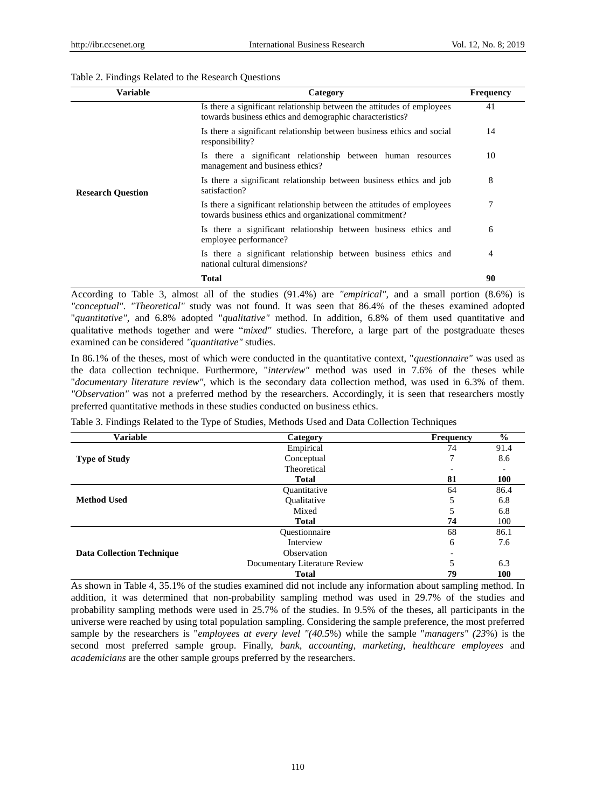### Table 2. Findings Related to the Research Questions

| Variable                 | Category                                                                                                                           | <b>Frequency</b>                   |
|--------------------------|------------------------------------------------------------------------------------------------------------------------------------|------------------------------------|
| <b>Research Question</b> | Is there a significant relationship between the attitudes of employees<br>towards business ethics and demographic characteristics? | 41                                 |
|                          | Is there a significant relationship between business ethics and social<br>responsibility?                                          | 14                                 |
|                          | Is there a significant relationship between human resources<br>management and business ethics?                                     | 10                                 |
|                          | Is there a significant relationship between business ethics and job<br>satisfaction?                                               | 8                                  |
|                          | Is there a significant relationship between the attitudes of employees<br>towards business ethics and organizational commitment?   | 7                                  |
|                          | Is there a significant relationship between business ethics and<br>employee performance?                                           | 6                                  |
|                          | Is there a significant relationship between business ethics and<br>national cultural dimensions?                                   | 4                                  |
|                          | Total                                                                                                                              | 90                                 |
| ---                      | $\sim$ $\sim$ $\sim$ $\sim$ $\sim$                                                                                                 | $\sim$ $\sim$ $\sim$ $\sim$ $\sim$ |

According to Table 3, almost all of the studies (91.4%) are *"empirical",* and a small portion (8.6%) is *"conceptual"*. *"Theoretical"* study was not found. It was seen that 86.4% of the theses examined adopted "*quantitative"*, and 6.8% adopted "*qualitative"* method. In addition, 6.8% of them used quantitative and qualitative methods together and were "*mixed"* studies. Therefore, a large part of the postgraduate theses examined can be considered *"quantitative"* studies.

In 86.1% of the theses, most of which were conducted in the quantitative context, "*questionnaire"* was used as the data collection technique. Furthermore, "*interview"* method was used in 7.6% of the theses while "*documentary literature review"*, which is the secondary data collection method, was used in 6.3% of them. *"Observation"* was not a preferred method by the researchers. Accordingly, it is seen that researchers mostly preferred quantitative methods in these studies conducted on business ethics.

| <b>Variable</b>                  | Category                      | <b>Frequency</b> | $\frac{0}{0}$ |
|----------------------------------|-------------------------------|------------------|---------------|
|                                  | Empirical                     | 74               | 91.4          |
| <b>Type of Study</b>             | Conceptual                    | 7                | 8.6           |
|                                  | Theoretical                   |                  |               |
|                                  | <b>Total</b>                  | 81               | <b>100</b>    |
|                                  | <b>Ouantitative</b>           | 64               | 86.4          |
| <b>Method Used</b>               | Qualitative                   | 5                | 6.8           |
|                                  | Mixed                         |                  | 6.8           |
|                                  | <b>Total</b>                  | 74               | 100           |
|                                  | Ouestionnaire                 | 68               | 86.1          |
|                                  | Interview                     | 6                | 7.6           |
| <b>Data Collection Technique</b> | Observation                   |                  |               |
|                                  | Documentary Literature Review |                  | 6.3           |
|                                  | <b>Total</b>                  | 79               | 100           |

Table 3. Findings Related to the Type of Studies, Methods Used and Data Collection Techniques

As shown in Table 4, 35.1% of the studies examined did not include any information about sampling method. In addition, it was determined that non-probability sampling method was used in 29.7% of the studies and probability sampling methods were used in 25.7% of the studies. In 9.5% of the theses, all participants in the universe were reached by using total population sampling. Considering the sample preference, the most preferred sample by the researchers is "*employees at every level "(40.5*%) while the sample "*managers" (23*%) is the second most preferred sample group. Finally, *bank, accounting, marketing, healthcare employees* and *academicians* are the other sample groups preferred by the researchers.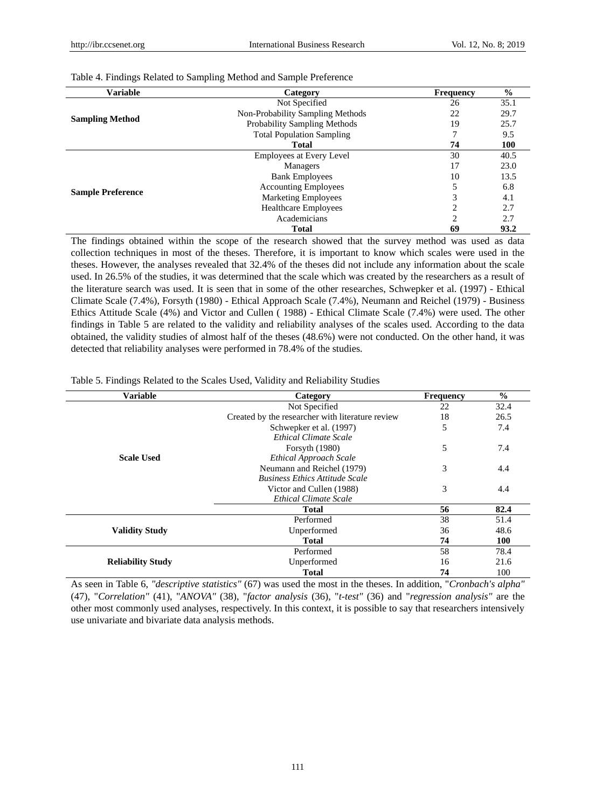| <b>Variable</b>          | Category                         | <b>Frequency</b> | $\frac{6}{6}$ |
|--------------------------|----------------------------------|------------------|---------------|
|                          | Not Specified                    | 26               | 35.1          |
|                          | Non-Probability Sampling Methods | 22               | 29.7          |
| <b>Sampling Method</b>   | Probability Sampling Methods     | 19               | 25.7          |
|                          | <b>Total Population Sampling</b> | 7                | 9.5           |
|                          | <b>Total</b>                     | 74               | <b>100</b>    |
|                          | <b>Employees at Every Level</b>  | 30               | 40.5          |
|                          | Managers                         | 17               | 23.0          |
|                          | <b>Bank Employees</b>            | 10               | 13.5          |
| <b>Sample Preference</b> | <b>Accounting Employees</b>      | 5                | 6.8           |
|                          | <b>Marketing Employees</b>       | 3                | 4.1           |
|                          | <b>Healthcare Employees</b>      | $\overline{c}$   | 2.7           |
|                          | Academicians                     | $\overline{c}$   | 2.7           |
|                          | <b>Total</b>                     | 69               | 93.2          |

Table 4. Findings Related to Sampling Method and Sample Preference

The findings obtained within the scope of the research showed that the survey method was used as data collection techniques in most of the theses. Therefore, it is important to know which scales were used in the theses. However, the analyses revealed that 32.4% of the theses did not include any information about the scale used. In 26.5% of the studies, it was determined that the scale which was created by the researchers as a result of the literature search was used. It is seen that in some of the other researches, Schwepker et al. (1997) - Ethical Climate Scale (7.4%), Forsyth (1980) - Ethical Approach Scale (7.4%), Neumann and Reichel (1979) - Business Ethics Attitude Scale (4%) and Victor and Cullen ( 1988) - Ethical Climate Scale (7.4%) were used. The other findings in Table 5 are related to the validity and reliability analyses of the scales used. According to the data obtained, the validity studies of almost half of the theses (48.6%) were not conducted. On the other hand, it was detected that reliability analyses were performed in 78.4% of the studies.

|  |  |  | Table 5. Findings Related to the Scales Used, Validity and Reliability Studies |  |
|--|--|--|--------------------------------------------------------------------------------|--|
|  |  |  |                                                                                |  |

| <b>Variable</b>          | Category                                         | <b>Frequency</b> | $\frac{0}{0}$ |
|--------------------------|--------------------------------------------------|------------------|---------------|
|                          | Not Specified                                    | 22               | 32.4          |
|                          | Created by the researcher with literature review | 18               | 26.5          |
|                          | Schwepker et al. (1997)                          | 5                | 7.4           |
|                          | <b>Ethical Climate Scale</b>                     |                  |               |
|                          | Forsyth (1980)                                   | 5                | 7.4           |
| <b>Scale Used</b>        | <b>Ethical Approach Scale</b>                    |                  |               |
|                          | Neumann and Reichel (1979)                       | 3                | 4.4           |
|                          | <b>Business Ethics Attitude Scale</b>            |                  |               |
|                          | Victor and Cullen (1988)                         | 3                | 4.4           |
|                          | <b>Ethical Climate Scale</b>                     |                  |               |
|                          | <b>Total</b>                                     | 56               | 82.4          |
|                          | Performed                                        | 38               | 51.4          |
| <b>Validity Study</b>    | Unperformed                                      | 36               | 48.6          |
|                          | <b>Total</b>                                     | 74               | <b>100</b>    |
|                          | Performed                                        | 58               | 78.4          |
| <b>Reliability Study</b> | Unperformed                                      | 16               | 21.6          |
|                          | <b>Total</b>                                     | 74               | 100           |

As seen in Table 6, *"descriptive statistics"* (67) was used the most in the theses. In addition, "*Cronbach's alpha"* (47), "*Correlation"* (41), "*ANOVA"* (38), "*factor analysis* (36), "*t-test"* (36) and "*regression analysis"* are the other most commonly used analyses, respectively. In this context, it is possible to say that researchers intensively use univariate and bivariate data analysis methods.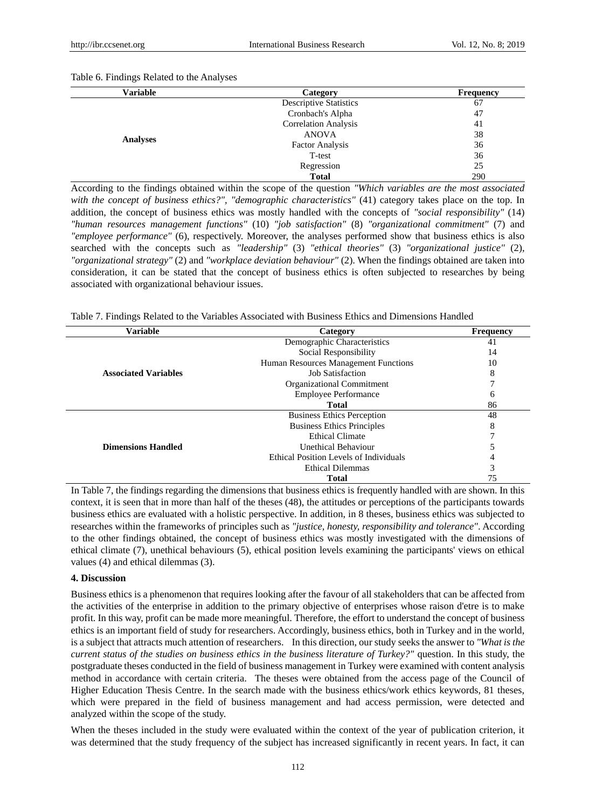| <b>Variable</b> | Category                      | <b>Frequency</b> |
|-----------------|-------------------------------|------------------|
|                 | <b>Descriptive Statistics</b> | 67               |
|                 | Cronbach's Alpha              | 47               |
|                 | <b>Correlation Analysis</b>   | 41               |
|                 | <b>ANOVA</b>                  | 38               |
| <b>Analyses</b> | <b>Factor Analysis</b>        | 36               |
|                 | T-test                        | 36               |
|                 | Regression                    | 25               |
|                 | <b>Total</b>                  | 290              |

According to the findings obtained within the scope of the question *"Which variables are the most associated with the concept of business ethics?", "demographic characteristics"* (41) category takes place on the top. In addition, the concept of business ethics was mostly handled with the concepts of *"social responsibility"* (14) *"human resources management functions"* (10) *"job satisfaction"* (8) *"organizational commitment"* (7) and *"employee performance"* (6), respectively. Moreover, the analyses performed show that business ethics is also searched with the concepts such as *"leadership"* (3) *"ethical theories"* (3) *"organizational justice"* (2), *"organizational strategy"* (2) and *"workplace deviation behaviour"* (2). When the findings obtained are taken into consideration, it can be stated that the concept of business ethics is often subjected to researches by being associated with organizational behaviour issues.

Table 7. Findings Related to the Variables Associated with Business Ethics and Dimensions Handled

| Variable                    | Category                               | Frequency |
|-----------------------------|----------------------------------------|-----------|
|                             | Demographic Characteristics            | 41        |
|                             | Social Responsibility                  | 14        |
|                             | Human Resources Management Functions   | 10        |
| <b>Associated Variables</b> | Job Satisfaction                       | 8         |
|                             | Organizational Commitment              |           |
|                             | <b>Employee Performance</b>            | O         |
|                             | <b>Total</b>                           | 86        |
|                             | <b>Business Ethics Perception</b>      | 48        |
|                             | <b>Business Ethics Principles</b>      | 8         |
|                             | <b>Ethical Climate</b>                 |           |
| <b>Dimensions Handled</b>   | Unethical Behaviour                    |           |
|                             | Ethical Position Levels of Individuals |           |
|                             | <b>Ethical Dilemmas</b>                | 3         |
|                             | <b>Total</b>                           |           |

In Table 7, the findings regarding the dimensions that business ethics is frequently handled with are shown. In this context, it is seen that in more than half of the theses (48), the attitudes or perceptions of the participants towards business ethics are evaluated with a holistic perspective. In addition, in 8 theses, business ethics was subjected to researches within the frameworks of principles such as *"justice, honesty, responsibility and tolerance"*. According to the other findings obtained, the concept of business ethics was mostly investigated with the dimensions of ethical climate (7), unethical behaviours (5), ethical position levels examining the participants' views on ethical values (4) and ethical dilemmas (3).

#### **4. Discussion**

Business ethics is a phenomenon that requires looking after the favour of all stakeholders that can be affected from the activities of the enterprise in addition to the primary objective of enterprises whose raison d'etre is to make profit. In this way, profit can be made more meaningful. Therefore, the effort to understand the concept of business ethics is an important field of study for researchers. Accordingly, business ethics, both in Turkey and in the world, is a subject that attracts much attention of researchers. In this direction, our study seeks the answer to *"What is the current status of the studies on business ethics in the business literature of Turkey?"* question. In this study, the postgraduate theses conducted in the field of business management in Turkey were examined with content analysis method in accordance with certain criteria. The theses were obtained from the access page of the Council of Higher Education Thesis Centre. In the search made with the business ethics/work ethics keywords, 81 theses, which were prepared in the field of business management and had access permission, were detected and analyzed within the scope of the study.

When the theses included in the study were evaluated within the context of the year of publication criterion, it was determined that the study frequency of the subject has increased significantly in recent years. In fact, it can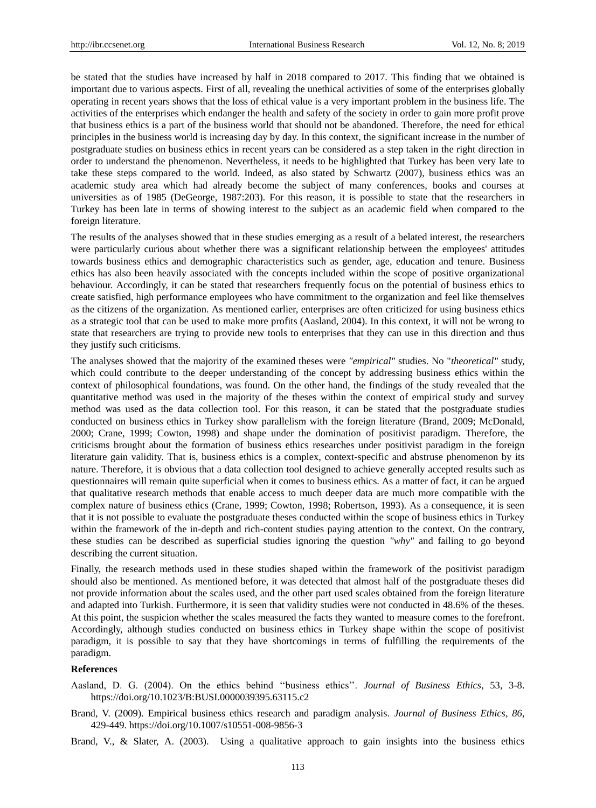be stated that the studies have increased by half in 2018 compared to 2017. This finding that we obtained is important due to various aspects. First of all, revealing the unethical activities of some of the enterprises globally operating in recent years shows that the loss of ethical value is a very important problem in the business life. The activities of the enterprises which endanger the health and safety of the society in order to gain more profit prove that business ethics is a part of the business world that should not be abandoned. Therefore, the need for ethical principles in the business world is increasing day by day. In this context, the significant increase in the number of postgraduate studies on business ethics in recent years can be considered as a step taken in the right direction in order to understand the phenomenon. Nevertheless, it needs to be highlighted that Turkey has been very late to take these steps compared to the world. Indeed, as also stated by Schwartz (2007), business ethics was an academic study area which had already become the subject of many conferences, books and courses at universities as of 1985 (DeGeorge, 1987:203). For this reason, it is possible to state that the researchers in Turkey has been late in terms of showing interest to the subject as an academic field when compared to the foreign literature.

The results of the analyses showed that in these studies emerging as a result of a belated interest, the researchers were particularly curious about whether there was a significant relationship between the employees' attitudes towards business ethics and demographic characteristics such as gender, age, education and tenure. Business ethics has also been heavily associated with the concepts included within the scope of positive organizational behaviour. Accordingly, it can be stated that researchers frequently focus on the potential of business ethics to create satisfied, high performance employees who have commitment to the organization and feel like themselves as the citizens of the organization. As mentioned earlier, enterprises are often criticized for using business ethics as a strategic tool that can be used to make more profits (Aasland, 2004). In this context, it will not be wrong to state that researchers are trying to provide new tools to enterprises that they can use in this direction and thus they justify such criticisms.

The analyses showed that the majority of the examined theses were *"empirical"* studies. No "*theoretical"* study, which could contribute to the deeper understanding of the concept by addressing business ethics within the context of philosophical foundations, was found. On the other hand, the findings of the study revealed that the quantitative method was used in the majority of the theses within the context of empirical study and survey method was used as the data collection tool. For this reason, it can be stated that the postgraduate studies conducted on business ethics in Turkey show parallelism with the foreign literature (Brand, 2009; McDonald, 2000; Crane, 1999; Cowton, 1998) and shape under the domination of positivist paradigm. Therefore, the criticisms brought about the formation of business ethics researches under positivist paradigm in the foreign literature gain validity. That is, business ethics is a complex, context-specific and abstruse phenomenon by its nature. Therefore, it is obvious that a data collection tool designed to achieve generally accepted results such as questionnaires will remain quite superficial when it comes to business ethics. As a matter of fact, it can be argued that qualitative research methods that enable access to much deeper data are much more compatible with the complex nature of business ethics (Crane, 1999; Cowton, 1998; Robertson, 1993). As a consequence, it is seen that it is not possible to evaluate the postgraduate theses conducted within the scope of business ethics in Turkey within the framework of the in-depth and rich-content studies paying attention to the context. On the contrary, these studies can be described as superficial studies ignoring the question *"why"* and failing to go beyond describing the current situation.

Finally, the research methods used in these studies shaped within the framework of the positivist paradigm should also be mentioned. As mentioned before, it was detected that almost half of the postgraduate theses did not provide information about the scales used, and the other part used scales obtained from the foreign literature and adapted into Turkish. Furthermore, it is seen that validity studies were not conducted in 48.6% of the theses. At this point, the suspicion whether the scales measured the facts they wanted to measure comes to the forefront. Accordingly, although studies conducted on business ethics in Turkey shape within the scope of positivist paradigm, it is possible to say that they have shortcomings in terms of fulfilling the requirements of the paradigm.

#### **References**

Aasland, D. G. (2004). On the ethics behind "business ethics". Journal of Business Ethics, 53, 3-8. https://doi.org/10.1023/B:BUSI.0000039395.63115.c2

Brand, V. (2009). Empirical business ethics research and paradigm analysis. *Journal of Business Ethics*, *86,*  429-449. https://doi.org/10.1007/s10551-008-9856-3

Brand, V., & Slater, A. (2003). Using a qualitative approach to gain insights into the business ethics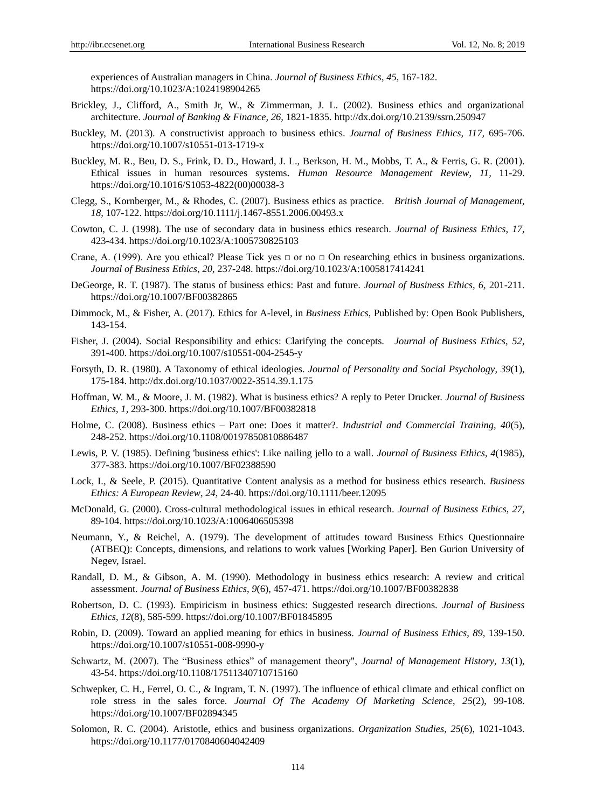experiences of Australian managers in China. *Journal of Business Ethics*, *45,* 167-182. https://doi.org/10.1023/A:1024198904265

- Brickley, J., Clifford, A., Smith Jr, W., & Zimmerman, J. L. (2002). Business ethics and organizational architecture. *Journal of Banking & Finance, 26,* 1821-1835. http://dx.doi.org/10.2139/ssrn.250947
- Buckley, M. (2013). A constructivist approach to business ethics. *Journal of Business Ethics, 117,* 695-706. https://doi.org/10.1007/s10551-013-1719-x
- Buckley, M. R., Beu, D. S., Frink, D. D., Howard, J. L., Berkson, H. M., Mobbs, T. A., & Ferris, G. R. (2001). Ethical issues in human resources systems*. Human Resource Management Review*, *11,* 11-29. https://doi.org/10.1016/S1053-4822(00)00038-3
- Clegg, S., Kornberger, M., & Rhodes, C. (2007). Business ethics as practice. *British Journal of Management*, *18,* 107-122. https://doi.org/10.1111/j.1467-8551.2006.00493.x
- Cowton, C. J. (1998). The use of secondary data in business ethics research. *Journal of Business Ethics*, *17,*  423-434. https://doi.org/10.1023/A:1005730825103
- Crane, A. (1999). Are you ethical? Please Tick yes  $\Box$  or no  $\Box$  On researching ethics in business organizations. *Journal of Business Ethics*, *20,* 237-248. https://doi.org/10.1023/A:1005817414241
- DeGeorge, R. T. (1987). The status of business ethics: Past and future. *Journal of Business Ethics, 6,* 201-211. https://doi.org/10.1007/BF00382865
- Dimmock, M., & Fisher, A. (2017). Ethics for A-level, in *Business Ethics*, Published by: Open Book Publishers, 143-154.
- Fisher, J. (2004). Social Responsibility and ethics: Clarifying the concepts. *Journal of Business Ethics*, *52,*  391-400. https://doi.org/10.1007/s10551-004-2545-y
- Forsyth, D. R. (1980). A Taxonomy of ethical ideologies. *Journal of Personality and Social Psychology*, *39*(1), 175-184. http://dx.doi.org/10.1037/0022-3514.39.1.175
- Hoffman, W. M., & Moore, J. M. (1982). What is business ethics? A reply to Peter Drucker. *Journal of Business Ethics*, *1,* 293-300. https://doi.org/10.1007/BF00382818
- Holme, C. (2008). Business ethics Part one: Does it matter?. *Industrial and Commercial Training, 40*(5), 248-252. https://doi.org/10.1108/00197850810886487
- Lewis, P. V. (1985). Defining 'business ethics': Like nailing jello to a wall. *Journal of Business Ethics*, *4*(1985), 377-383. https://doi.org/10.1007/BF02388590
- Lock, I., & Seele, P. (2015). Quantitative Content analysis as a method for business ethics research. *Business Ethics: A European Review*, *24,* 24-40. https://doi.org/10.1111/beer.12095
- McDonald, G. (2000). Cross-cultural methodological issues in ethical research. *Journal of Business Ethics*, *27,*  89-104. https://doi.org/10.1023/A:1006406505398
- Neumann, Y., & Reichel, A. (1979). The development of attitudes toward Business Ethics Questionnaire (ATBEQ): Concepts, dimensions, and relations to work values [Working Paper]. Ben Gurion University of Negev, Israel.
- Randall, D. M., & Gibson, A. M. (1990). Methodology in business ethics research: A review and critical assessment. *Journal of Business Ethics*, *9*(6), 457-471. https://doi.org/10.1007/BF00382838
- Robertson, D. C. (1993). Empiricism in business ethics: Suggested research directions. *Journal of Business Ethics*, *12*(8), 585-599. https://doi.org/10.1007/BF01845895
- Robin, D. (2009). Toward an applied meaning for ethics in business. *Journal of Business Ethics*, *89,* 139-150. https://doi.org/10.1007/s10551-008-9990-y
- Schwartz, M. (2007). The "Business ethics" of management theory", *Journal of Management History*, *13*(1), 43-54. https://doi.org/10.1108/17511340710715160
- Schwepker, C. H., Ferrel, O. C., & Ingram, T. N. (1997). The influence of ethical climate and ethical conflict on role stress in the sales force. *Journal Of The Academy Of Marketing Science*, *25*(2), 99-108. https://doi.org/10.1007/BF02894345
- Solomon, R. C. (2004). Aristotle, ethics and business organizations. *Organization Studies*, *25*(6), 1021-1043. https://doi.org/10.1177/0170840604042409